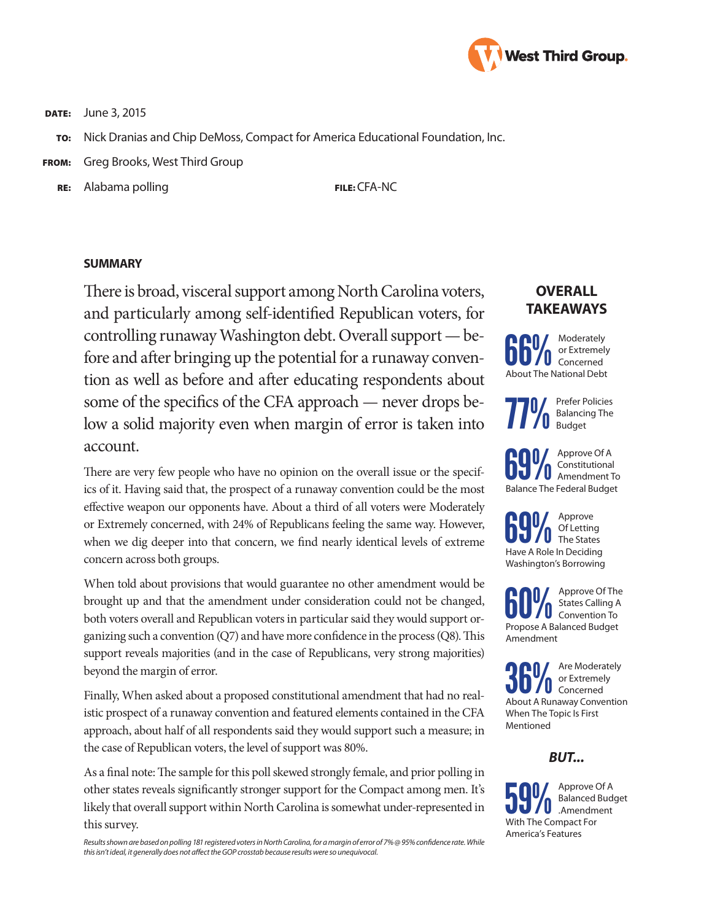

**DATE:** June 3, 2015

- TO: Nick Dranias and Chip DeMoss, Compact for America Educational Foundation, Inc.
- FROM: Greg Brooks, West Third Group
	- RE: Alabama polling FILE: CFA-NC

#### **SUMMARY**

There is broad, visceral support among North Carolina voters, and particularly among self-identified Republican voters, for controlling runaway Washington debt. Overall support — before and after bringing up the potential for a runaway convention as well as before and after educating respondents about some of the specifics of the CFA approach — never drops below a solid majority even when margin of error is taken into account.

There are very few people who have no opinion on the overall issue or the specifics of it. Having said that, the prospect of a runaway convention could be the most effective weapon our opponents have. About a third of all voters were Moderately or Extremely concerned, with 24% of Republicans feeling the same way. However, when we dig deeper into that concern, we find nearly identical levels of extreme concern across both groups.

When told about provisions that would guarantee no other amendment would be brought up and that the amendment under consideration could not be changed, both voters overall and Republican voters in particular said they would support organizing such a convention (Q7) and have more confidence in the process (Q8). This support reveals majorities (and in the case of Republicans, very strong majorities) beyond the margin of error.

Finally, When asked about a proposed constitutional amendment that had no realistic prospect of a runaway convention and featured elements contained in the CFA approach, about half of all respondents said they would support such a measure; in the case of Republican voters, the level of support was 80%.

As a final note: The sample for this poll skewed strongly female, and prior polling in other states reveals significantly stronger support for the Compact among men. It's likely that overall support within North Carolina is somewhat under-represented in this survey.

*Results shown are based on polling 181 registered voters in North Carolina, for a margin of error of 7% @ 95% confidence rate. While this isn't ideal, it generally does not affect the GOP crosstab because results were so unequivocal.*

# **OVERALL TAKEAWAYS**



**77%** Prefer Policies<br>**77%** Balancing The<br>Budget Balancing The Budget

**69%** Approve Of A<br>  $\sum_{\text{Amendment 1}}^{\text{Approve 0f A}}$ Constitutional Amendment To Balance The Federal Budget

**69%** Approve<br>The States<br>Have A Pole in Deciding Of Letting Have A Role In Deciding Washington's Borrowing

**COM** Approve Of The States Calling A Convention To Propose A Balanced Budget States Calling A Convention To Amendment

**36 M** Are Moderately<br> **About A Runaway Convention** or Extremely Concerned When The Topic Is First Mentioned

### *BUT...*

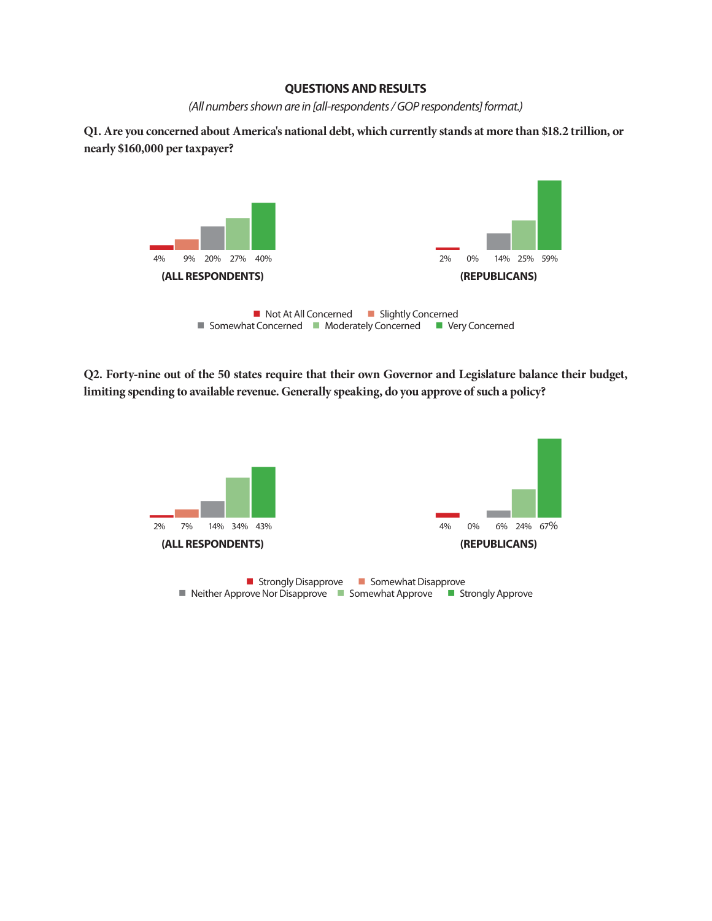#### **QUESTIONS AND RESULTS**

*(All numbers shown are in [all-respondents / GOP respondents] format.)*

**Q1. Are you concerned about America's national debt, which currently stands at more than \$18.2 trillion, or nearly \$160,000 per taxpayer?**



**Q2. Forty-nine out of the 50 states require that their own Governor and Legislature balance their budget, limiting spending to available revenue. Generally speaking, do you approve of such a policy?**

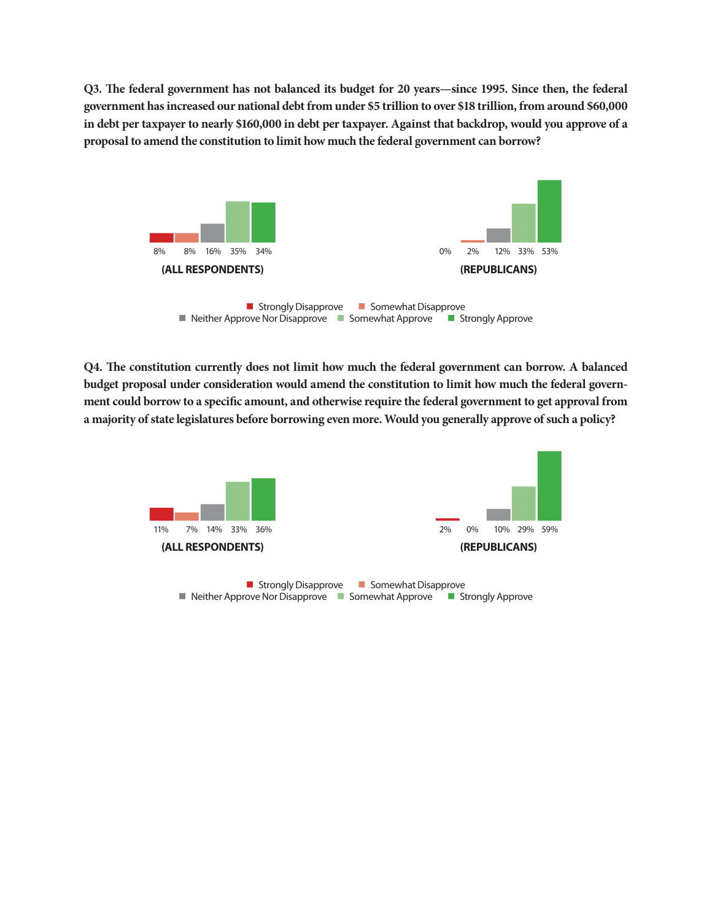**Q3. The federal government has not balanced its budget for 20 years—since 1995. Since then, the federal government has increased our national debt from under \$5 trillion to over \$18 trillion, from around \$60,000 in debt per taxpayer to nearly \$160,000 in debt per taxpayer. Against that backdrop, would you approve of a proposal to amend the constitution to limit how much the federal government can borrow?**



**Q4. The constitution currently does not limit how much the federal government can borrow. A balanced budget proposal under consideration would amend the constitution to limit how much the federal government could borrow to a specific amount, and otherwise require the federal government to get approval from a majority of state legislatures before borrowing even more. Would you generally approve of such a policy?**

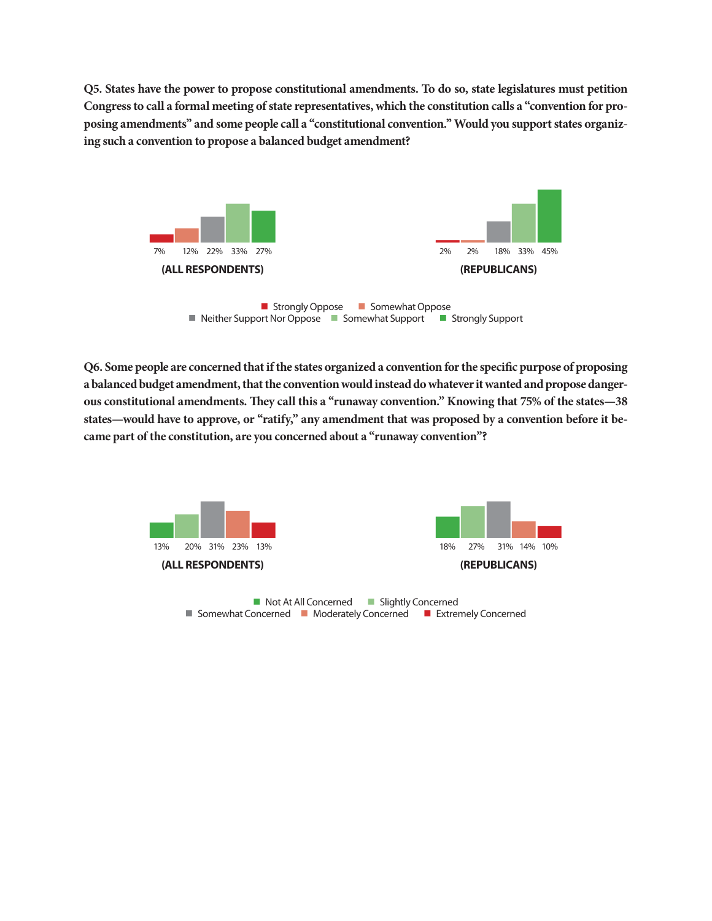**Q5. States have the power to propose constitutional amendments. To do so, state legislatures must petition Congress to call a formal meeting of state representatives, which the constitution calls a "convention for proposing amendments" and some people call a "constitutional convention." Would you support states organizing such a convention to propose a balanced budget amendment?**



 $\blacksquare$  Neither Support Nor Oppose  $\blacksquare$  Somewhat Support  $\blacksquare$  Strongly Support

**Q6. Some people are concerned that if the states organized a convention for the specific purpose of proposing a balanced budget amendment, that the convention would instead do whatever it wanted and propose dangerous constitutional amendments. They call this a "runaway convention." Knowing that 75% of the states—38 states—would have to approve, or "ratify," any amendment that was proposed by a convention before it became part of the constitution, are you concerned about a "runaway convention"?**

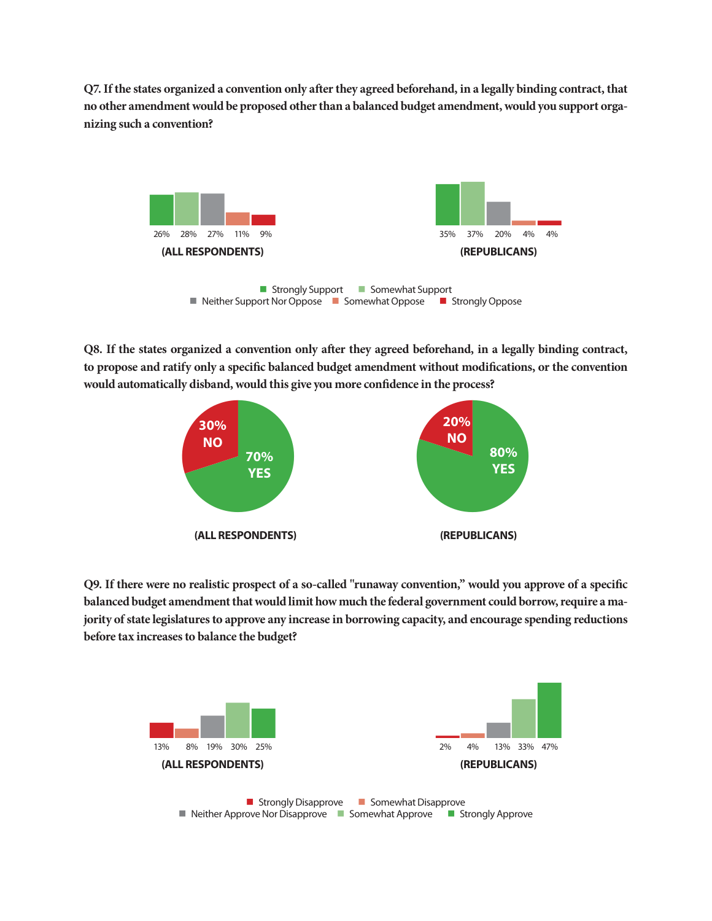**Q7. If the states organized a convention only after they agreed beforehand, in a legally binding contract, that no other amendment would be proposed other than a balanced budget amendment, would you support organizing such a convention?** 



**Q8. If the states organized a convention only after they agreed beforehand, in a legally binding contract, to propose and ratify only a specific balanced budget amendment without modifications, or the convention would automatically disband, would this give you more confidence in the process?**



**Q9. If there were no realistic prospect of a so-called "runaway convention," would you approve of a specific balanced budget amendment that would limit how much the federal government could borrow, require a majority of state legislatures to approve any increase in borrowing capacity, and encourage spending reductions before tax increases to balance the budget?**